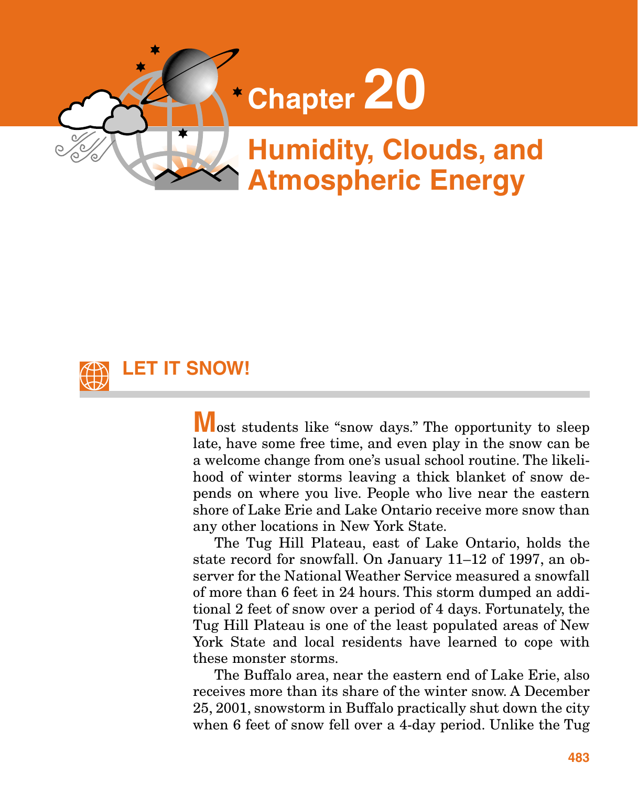



**M**ost students like "snow days." The opportunity to sleep late, have some free time, and even play in the snow can be a welcome change from one's usual school routine. The likelihood of winter storms leaving a thick blanket of snow depends on where you live. People who live near the eastern shore of Lake Erie and Lake Ontario receive more snow than any other locations in New York State.

The Tug Hill Plateau, east of Lake Ontario, holds the state record for snowfall. On January 11–12 of 1997, an observer for the National Weather Service measured a snowfall of more than 6 feet in 24 hours. This storm dumped an additional 2 feet of snow over a period of 4 days. Fortunately, the Tug Hill Plateau is one of the least populated areas of New York State and local residents have learned to cope with these monster storms.

The Buffalo area, near the eastern end of Lake Erie, also receives more than its share of the winter snow. A December 25, 2001, snowstorm in Buffalo practically shut down the city when 6 feet of snow fell over a 4-day period. Unlike the Tug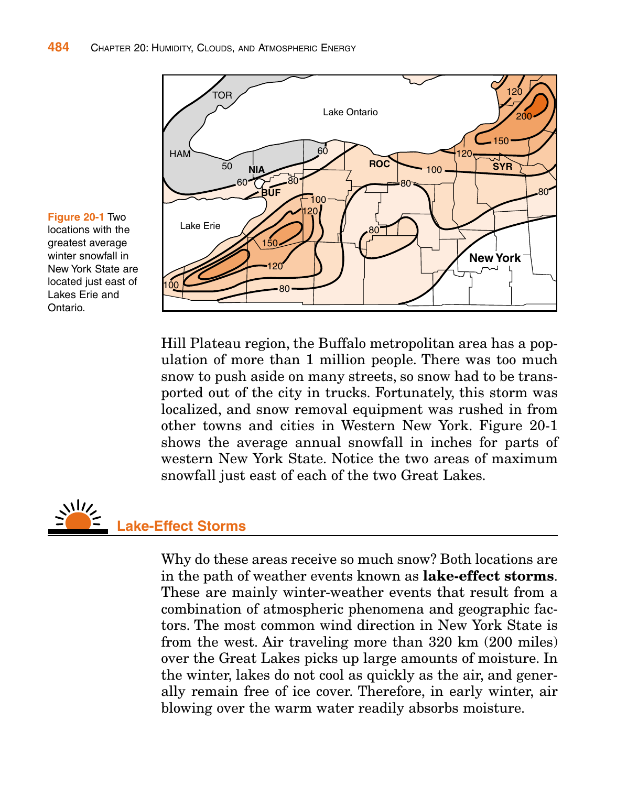

Hill Plateau region, the Buffalo metropolitan area has a population of more than 1 million people. There was too much snow to push aside on many streets, so snow had to be transported out of the city in trucks. Fortunately, this storm was localized, and snow removal equipment was rushed in from other towns and cities in Western New York. Figure 20-1 shows the average annual snowfall in inches for parts of western New York State. Notice the two areas of maximum snowfall just east of each of the two Great Lakes.

 $\frac{1}{2}$ **Lake-Effect Storms**

> Why do these areas receive so much snow? Both locations are in the path of weather events known as **lake-effect storms**. These are mainly winter-weather events that result from a combination of atmospheric phenomena and geographic factors. The most common wind direction in New York State is from the west. Air traveling more than 320 km (200 miles) over the Great Lakes picks up large amounts of moisture. In the winter, lakes do not cool as quickly as the air, and generally remain free of ice cover. Therefore, in early winter, air blowing over the warm water readily absorbs moisture.

**Figure 20-1** Two locations with the greatest average winter snowfall in New York State are located just east of Lakes Erie and Ontario.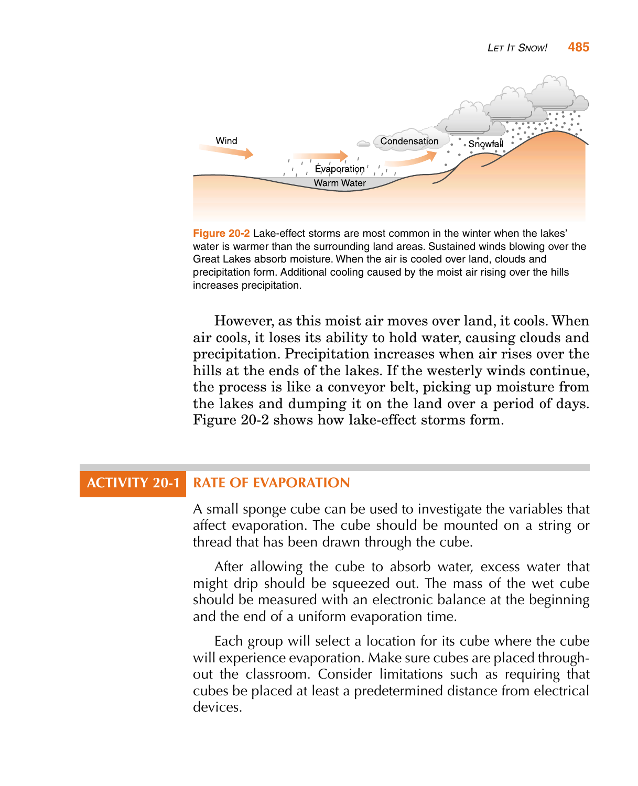

**Figure 20-2** Lake-effect storms are most common in the winter when the lakes' water is warmer than the surrounding land areas. Sustained winds blowing over the Great Lakes absorb moisture. When the air is cooled over land, clouds and precipitation form. Additional cooling caused by the moist air rising over the hills increases precipitation.

However, as this moist air moves over land, it cools. When air cools, it loses its ability to hold water, causing clouds and precipitation. Precipitation increases when air rises over the hills at the ends of the lakes. If the westerly winds continue, the process is like a conveyor belt, picking up moisture from the lakes and dumping it on the land over a period of days. Figure 20-2 shows how lake-effect storms form.

## **ACTIVITY 20-1 RATE OF EVAPORATION**

A small sponge cube can be used to investigate the variables that affect evaporation. The cube should be mounted on a string or thread that has been drawn through the cube.

After allowing the cube to absorb water, excess water that might drip should be squeezed out. The mass of the wet cube should be measured with an electronic balance at the beginning and the end of a uniform evaporation time.

Each group will select a location for its cube where the cube will experience evaporation. Make sure cubes are placed throughout the classroom. Consider limitations such as requiring that cubes be placed at least a predetermined distance from electrical devices.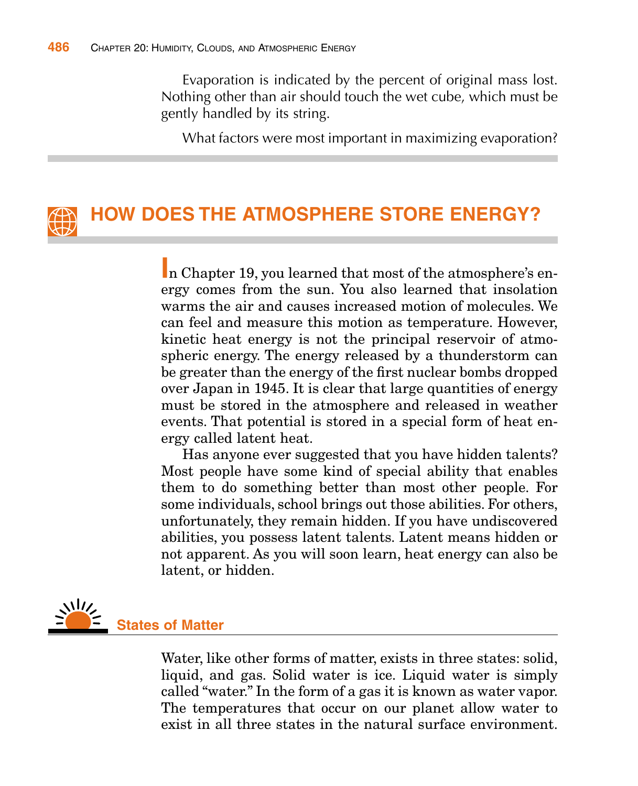Evaporation is indicated by the percent of original mass lost. Nothing other than air should touch the wet cube, which must be gently handled by its string.

What factors were most important in maximizing evaporation?

# **HOW DOES THE ATMOSPHERE STORE ENERGY?**

**I**n Chapter 19, you learned that most of the atmosphere's energy comes from the sun. You also learned that insolation warms the air and causes increased motion of molecules. We can feel and measure this motion as temperature. However, kinetic heat energy is not the principal reservoir of atmospheric energy. The energy released by a thunderstorm can be greater than the energy of the first nuclear bombs dropped over Japan in 1945. It is clear that large quantities of energy must be stored in the atmosphere and released in weather events. That potential is stored in a special form of heat energy called latent heat.

Has anyone ever suggested that you have hidden talents? Most people have some kind of special ability that enables them to do something better than most other people. For some individuals, school brings out those abilities. For others, unfortunately, they remain hidden. If you have undiscovered abilities, you possess latent talents. Latent means hidden or not apparent. As you will soon learn, heat energy can also be latent, or hidden.



Water, like other forms of matter, exists in three states: solid, liquid, and gas. Solid water is ice. Liquid water is simply called "water." In the form of a gas it is known as water vapor. The temperatures that occur on our planet allow water to exist in all three states in the natural surface environment.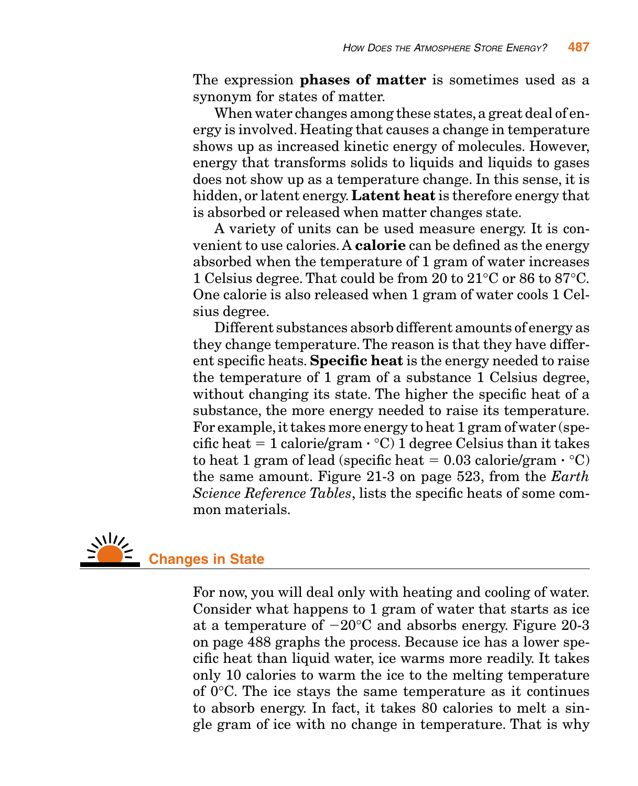The expression **phases of matter** is sometimes used as a synonym for states of matter.

When water changes among these states, a great deal of energy is involved. Heating that causes a change in temperature shows up as increased kinetic energy of molecules. However, energy that transforms solids to liquids and liquids to gases does not show up as a temperature change. In this sense, it is hidden, or latent energy. **Latent heat** is therefore energy that is absorbed or released when matter changes state.

A variety of units can be used measure energy. It is convenient to use calories. A **calorie** can be defined as the energy absorbed when the temperature of 1 gram of water increases 1 Celsius degree. That could be from 20 to 21°C or 86 to 87°C. One calorie is also released when 1 gram of water cools 1 Celsius degree.

Different substances absorb different amounts of energy as they change temperature. The reason is that they have different specific heats. **Specific heat** is the energy needed to raise the temperature of 1 gram of a substance 1 Celsius degree, without changing its state. The higher the specific heat of a substance, the more energy needed to raise its temperature. For example,it takes more energy to heat 1 gram of water (specific heat = 1 calorie/gram  $\cdot$  °C) 1 degree Celsius than it takes to heat 1 gram of lead (specific heat = 0.03 calorie/gram  $\cdot$  °C) the same amount. Figure 21-3 on page 523, from the *Earth Science Reference Tables*, lists the specific heats of some common materials.



For now, you will deal only with heating and cooling of water. Consider what happens to 1 gram of water that starts as ice at a temperature of  $-20^{\circ}$ C and absorbs energy. Figure 20-3 on page 488 graphs the process. Because ice has a lower specific heat than liquid water, ice warms more readily. It takes only 10 calories to warm the ice to the melting temperature of  $0^{\circ}$ C. The ice stays the same temperature as it continues to absorb energy. In fact, it takes 80 calories to melt a single gram of ice with no change in temperature. That is why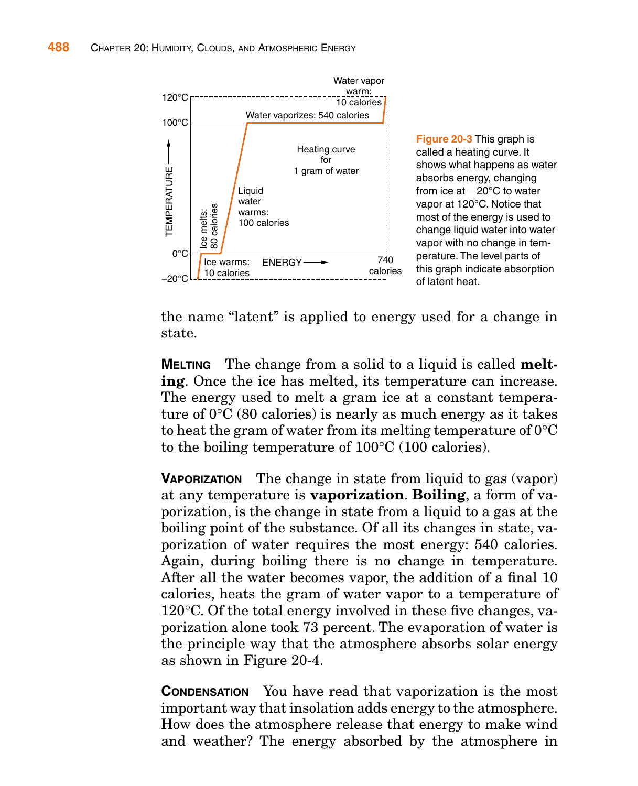

**Figure 20-3** This graph is called a heating curve. It shows what happens as water absorbs energy, changing from ice at  $-20^{\circ}$ C to water vapor at 120°C. Notice that most of the energy is used to change liquid water into water vapor with no change in temperature. The level parts of this graph indicate absorption of latent heat.

the name "latent" is applied to energy used for a change in state.

**MELTING** The change from a solid to a liquid is called **melting**. Once the ice has melted, its temperature can increase. The energy used to melt a gram ice at a constant temperature of 0°C (80 calories) is nearly as much energy as it takes to heat the gram of water from its melting temperature of  $0^{\circ}$ C to the boiling temperature of 100°C (100 calories).

**VAPORIZATION** The change in state from liquid to gas (vapor) at any temperature is **vaporization**. **Boiling**, a form of vaporization, is the change in state from a liquid to a gas at the boiling point of the substance. Of all its changes in state, vaporization of water requires the most energy: 540 calories. Again, during boiling there is no change in temperature. After all the water becomes vapor, the addition of a final 10 calories, heats the gram of water vapor to a temperature of 120°C. Of the total energy involved in these five changes, vaporization alone took 73 percent. The evaporation of water is the principle way that the atmosphere absorbs solar energy as shown in Figure 20-4.

**CONDENSATION** You have read that vaporization is the most important way that insolation adds energy to the atmosphere. How does the atmosphere release that energy to make wind and weather? The energy absorbed by the atmosphere in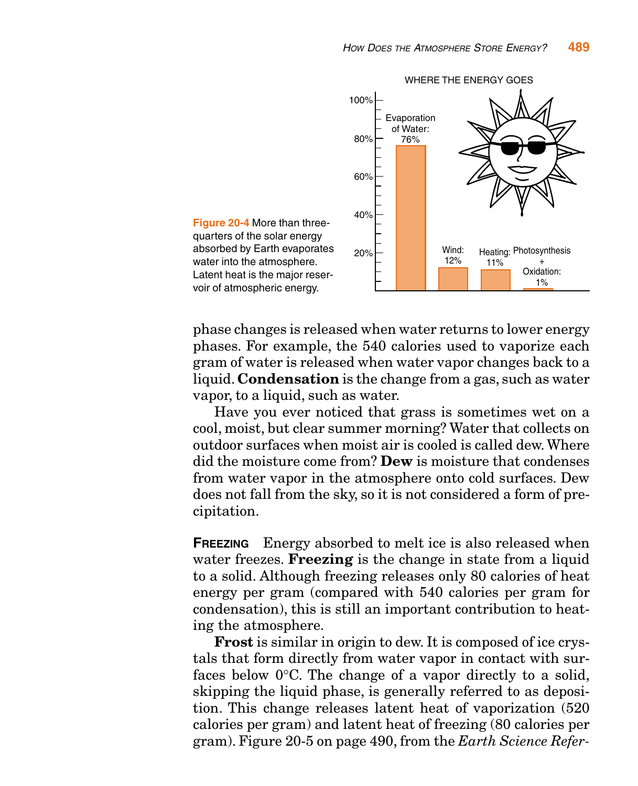

phase changes is released when water returns to lower energy phases. For example, the 540 calories used to vaporize each gram of water is released when water vapor changes back to a liquid. **Condensation** is the change from a gas, such as water vapor, to a liquid, such as water.

Have you ever noticed that grass is sometimes wet on a cool, moist, but clear summer morning? Water that collects on outdoor surfaces when moist air is cooled is called dew. Where did the moisture come from? **Dew** is moisture that condenses from water vapor in the atmosphere onto cold surfaces. Dew does not fall from the sky, so it is not considered a form of precipitation.

**FREEZING** Energy absorbed to melt ice is also released when water freezes. **Freezing** is the change in state from a liquid to a solid. Although freezing releases only 80 calories of heat energy per gram (compared with 540 calories per gram for condensation), this is still an important contribution to heating the atmosphere.

**Frost** is similar in origin to dew. It is composed of ice crystals that form directly from water vapor in contact with surfaces below 0°C. The change of a vapor directly to a solid, skipping the liquid phase, is generally referred to as deposition. This change releases latent heat of vaporization (520 calories per gram) and latent heat of freezing (80 calories per gram). Figure 20-5 on page 490, from the *Earth Science Refer-*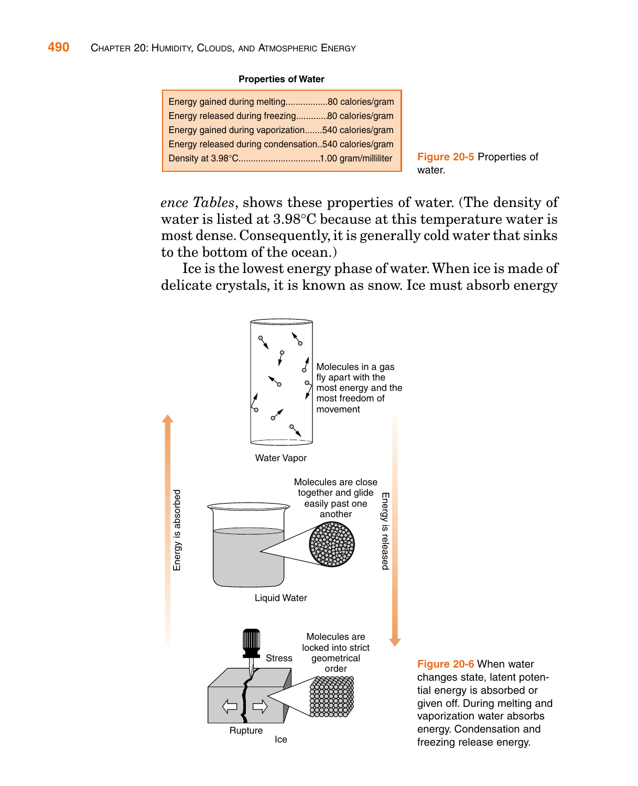#### **Properties of Water**

| Energy gained during melting80 calories/gram         |  |
|------------------------------------------------------|--|
| Energy released during freezing80 calories/gram      |  |
| Energy gained during vaporization540 calories/gram   |  |
| Energy released during condensation540 calories/gram |  |
|                                                      |  |
|                                                      |  |

**Figure 20-5** Properties of water.

*ence Tables*, shows these properties of water. (The density of water is listed at 3.98°C because at this temperature water is most dense. Consequently, it is generally cold water that sinks to the bottom of the ocean.)

Ice is the lowest energy phase of water.When ice is made of delicate crystals, it is known as snow. Ice must absorb energy



**Figure 20-6** When water changes state, latent potential energy is absorbed or given off. During melting and vaporization water absorbs energy. Condensation and freezing release energy.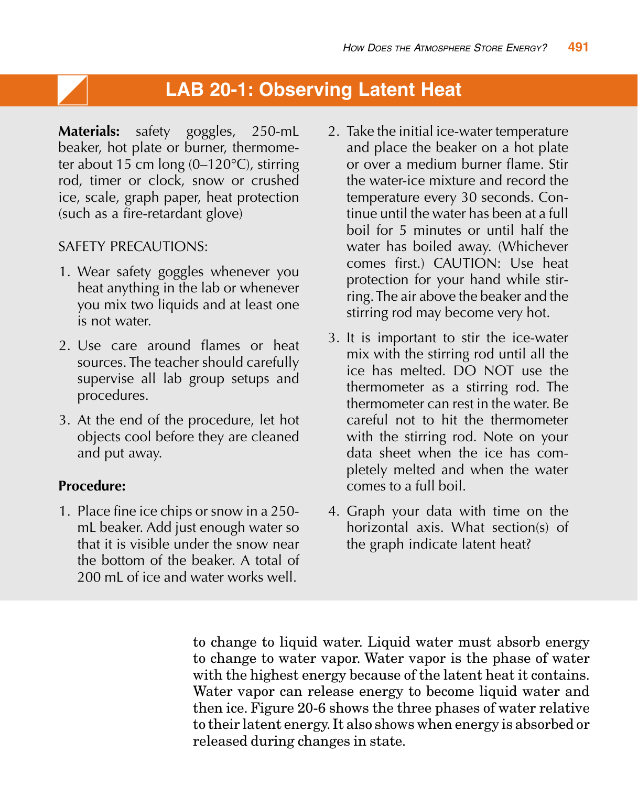## **LAB 20-1: Observing Latent Heat**

**Materials:** safety goggles, 250-mL beaker, hot plate or burner, thermometer about 15 cm long (0–120°C), stirring rod, timer or clock, snow or crushed ice, scale, graph paper, heat protection (such as a fire-retardant glove)

## SAFETY PRECAUTIONS:

- 1. Wear safety goggles whenever you heat anything in the lab or whenever you mix two liquids and at least one is not water.
- 2. Use care around flames or heat sources. The teacher should carefully supervise all lab group setups and procedures.
- 3. At the end of the procedure, let hot objects cool before they are cleaned and put away.

## **Procedure:**

1. Place fine ice chips or snow in a 250 mL beaker. Add just enough water so that it is visible under the snow near the bottom of the beaker. A total of 200 mL of ice and water works well.

- 2. Take the initial ice-water temperature and place the beaker on a hot plate or over a medium burner flame. Stir the water-ice mixture and record the temperature every 30 seconds. Continue until the water has been at a full boil for 5 minutes or until half the water has boiled away. (Whichever comes first.) CAUTION: Use heat protection for your hand while stirring. The air above the beaker and the stirring rod may become very hot.
- 3. It is important to stir the ice-water mix with the stirring rod until all the ice has melted. DO NOT use the thermometer as a stirring rod. The thermometer can rest in the water. Be careful not to hit the thermometer with the stirring rod. Note on your data sheet when the ice has completely melted and when the water comes to a full boil.
- 4. Graph your data with time on the horizontal axis. What section(s) of the graph indicate latent heat?

to change to liquid water. Liquid water must absorb energy to change to water vapor. Water vapor is the phase of water with the highest energy because of the latent heat it contains. Water vapor can release energy to become liquid water and then ice. Figure 20-6 shows the three phases of water relative to their latent energy.It also shows when energy is absorbed or released during changes in state.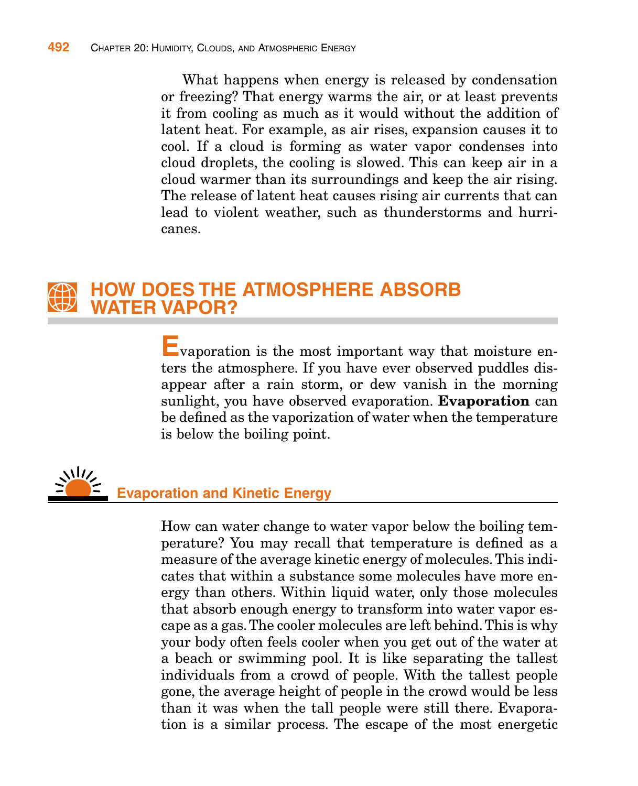What happens when energy is released by condensation or freezing? That energy warms the air, or at least prevents it from cooling as much as it would without the addition of latent heat. For example, as air rises, expansion causes it to cool. If a cloud is forming as water vapor condenses into cloud droplets, the cooling is slowed. This can keep air in a cloud warmer than its surroundings and keep the air rising. The release of latent heat causes rising air currents that can lead to violent weather, such as thunderstorms and hurricanes.

## **HOW DOES THE ATMOSPHERE ABSORB WATER VAPOR?**

**E**vaporation is the most important way that moisture enters the atmosphere. If you have ever observed puddles disappear after a rain storm, or dew vanish in the morning sunlight, you have observed evaporation. **Evaporation** can be defined as the vaporization of water when the temperature is below the boiling point.



How can water change to water vapor below the boiling temperature? You may recall that temperature is defined as a measure of the average kinetic energy of molecules. This indicates that within a substance some molecules have more energy than others. Within liquid water, only those molecules that absorb enough energy to transform into water vapor escape as a gas.The cooler molecules are left behind.This is why your body often feels cooler when you get out of the water at a beach or swimming pool. It is like separating the tallest individuals from a crowd of people. With the tallest people gone, the average height of people in the crowd would be less than it was when the tall people were still there. Evaporation is a similar process. The escape of the most energetic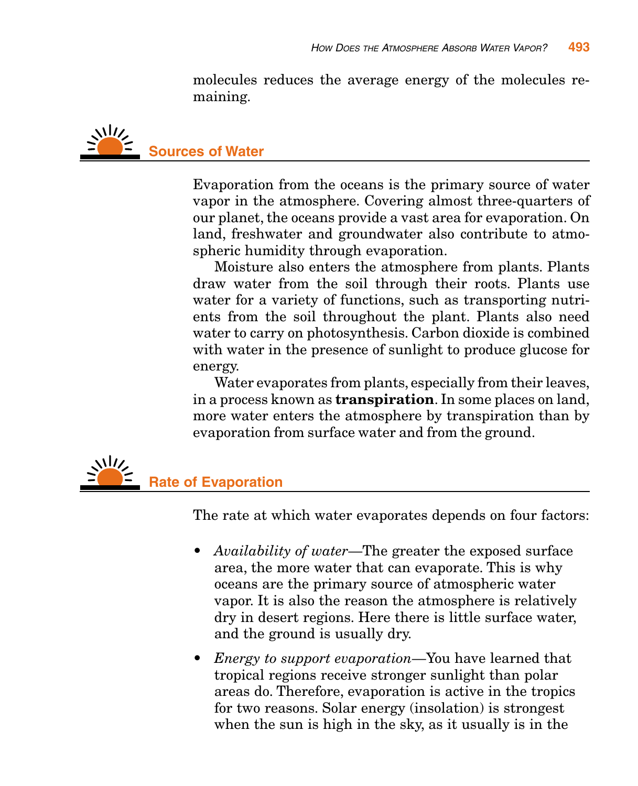molecules reduces the average energy of the molecules remaining.



Evaporation from the oceans is the primary source of water vapor in the atmosphere. Covering almost three-quarters of our planet, the oceans provide a vast area for evaporation. On land, freshwater and groundwater also contribute to atmospheric humidity through evaporation.

Moisture also enters the atmosphere from plants. Plants draw water from the soil through their roots. Plants use water for a variety of functions, such as transporting nutrients from the soil throughout the plant. Plants also need water to carry on photosynthesis. Carbon dioxide is combined with water in the presence of sunlight to produce glucose for energy.

Water evaporates from plants, especially from their leaves, in a process known as **transpiration**. In some places on land, more water enters the atmosphere by transpiration than by evaporation from surface water and from the ground.



The rate at which water evaporates depends on four factors:

- *Availability of water*—The greater the exposed surface area, the more water that can evaporate. This is why oceans are the primary source of atmospheric water vapor. It is also the reason the atmosphere is relatively dry in desert regions. Here there is little surface water, and the ground is usually dry.
- *Energy to support evaporation*—You have learned that tropical regions receive stronger sunlight than polar areas do. Therefore, evaporation is active in the tropics for two reasons. Solar energy (insolation) is strongest when the sun is high in the sky, as it usually is in the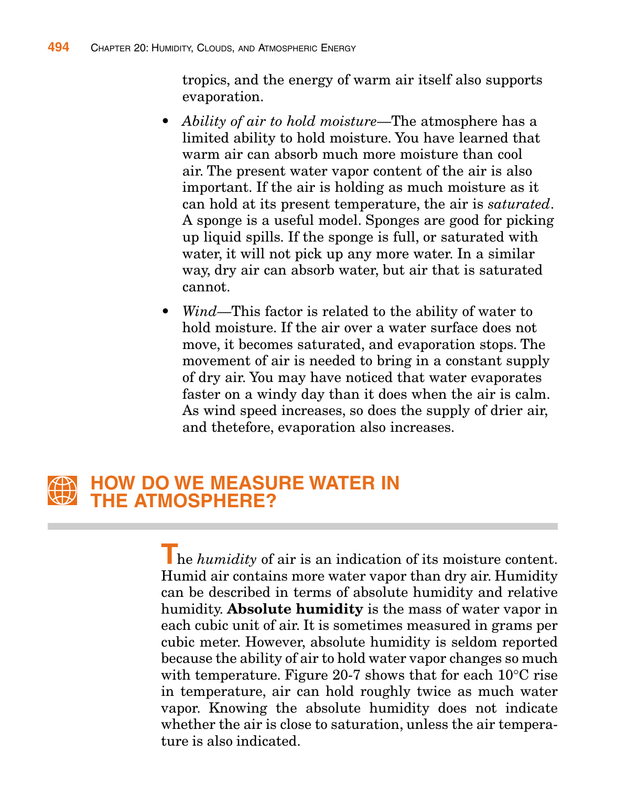tropics, and the energy of warm air itself also supports evaporation.

- *Ability of air to hold moisture*—The atmosphere has a limited ability to hold moisture. You have learned that warm air can absorb much more moisture than cool air. The present water vapor content of the air is also important. If the air is holding as much moisture as it can hold at its present temperature, the air is *saturated*. A sponge is a useful model. Sponges are good for picking up liquid spills. If the sponge is full, or saturated with water, it will not pick up any more water. In a similar way, dry air can absorb water, but air that is saturated cannot.
- *Wind*—This factor is related to the ability of water to hold moisture. If the air over a water surface does not move, it becomes saturated, and evaporation stops. The movement of air is needed to bring in a constant supply of dry air. You may have noticed that water evaporates faster on a windy day than it does when the air is calm. As wind speed increases, so does the supply of drier air, and thetefore, evaporation also increases.

## **HOW DO WE MEASURE WATER IN THE ATMOSPHERE?**

**T**he *humidity* of air is an indication of its moisture content. Humid air contains more water vapor than dry air. Humidity can be described in terms of absolute humidity and relative humidity. **Absolute humidity** is the mass of water vapor in each cubic unit of air. It is sometimes measured in grams per cubic meter. However, absolute humidity is seldom reported because the ability of air to hold water vapor changes so much with temperature. Figure 20-7 shows that for each 10<sup>o</sup>C rise in temperature, air can hold roughly twice as much water vapor. Knowing the absolute humidity does not indicate whether the air is close to saturation, unless the air temperature is also indicated.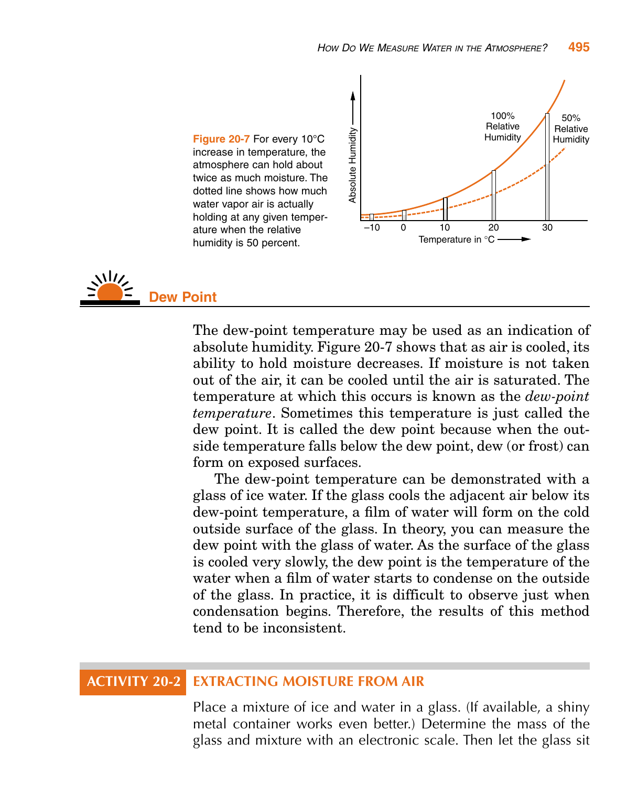100% Relative **Humidity** 

50% Relative<br>Humidity





The dew-point temperature may be used as an indication of absolute humidity. Figure 20-7 shows that as air is cooled, its ability to hold moisture decreases. If moisture is not taken out of the air, it can be cooled until the air is saturated. The temperature at which this occurs is known as the *dew-point temperature*. Sometimes this temperature is just called the dew point. It is called the dew point because when the outside temperature falls below the dew point, dew (or frost) can form on exposed surfaces.

The dew-point temperature can be demonstrated with a glass of ice water. If the glass cools the adjacent air below its dew-point temperature, a film of water will form on the cold outside surface of the glass. In theory, you can measure the dew point with the glass of water. As the surface of the glass is cooled very slowly, the dew point is the temperature of the water when a film of water starts to condense on the outside of the glass. In practice, it is difficult to observe just when condensation begins. Therefore, the results of this method tend to be inconsistent. Future 2007 For every 10°C and mixture with an electronic scale. The pair of the glass and mixture with both and mixture with a diving a any sign the mixture with the diving a any since the mixture with the glass sit Abso

#### **ACTIVITY 20-2 EXTRACTING MOISTURE FROM AIR**

Place a mixture of ice and water in a glass. (If available, a shiny metal container works even better.) Determine the mass of the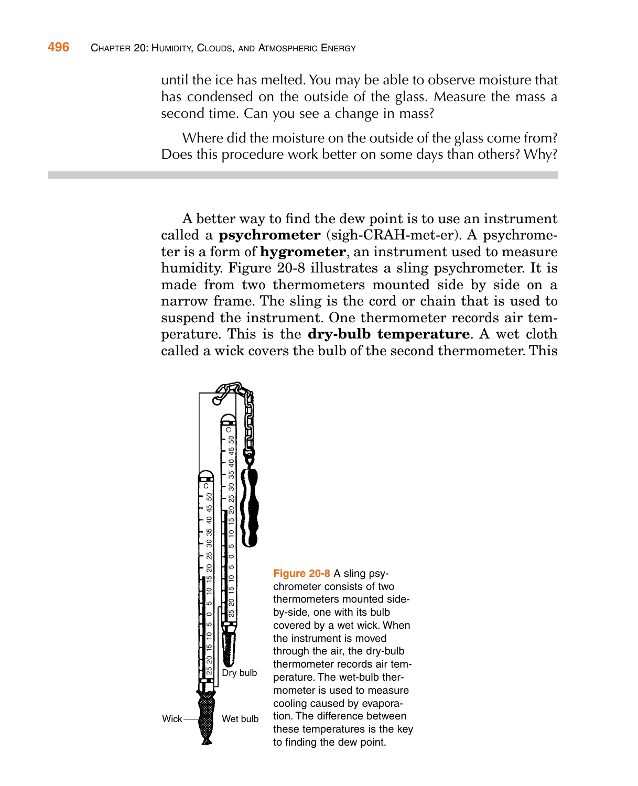until the ice has melted. You may be able to observe moisture that has condensed on the outside of the glass. Measure the mass a second time. Can you see a change in mass?

Where did the moisture on the outside of the glass come from? Does this procedure work better on some days than others? Why?

A better way to find the dew point is to use an instrument called a **psychrometer** (sigh-CRAH-met-er). A psychrometer is a form of **hygrometer**, an instrument used to measure humidity. Figure 20-8 illustrates a sling psychrometer. It is made from two thermometers mounted side by side on a narrow frame. The sling is the cord or chain that is used to suspend the instrument. One thermometer records air temperature. This is the **dry-bulb temperature**. A wet cloth called a wick covers the bulb of the second thermometer. This



**Figure 20-8** A sling psychrometer consists of two thermometers mounted sideby-side, one with its bulb covered by a wet wick. When the instrument is moved through the air, the dry-bulb thermometer records air temperature. The wet-bulb thermometer is used to measure cooling caused by evaporation. The difference between these temperatures is the key to finding the dew point.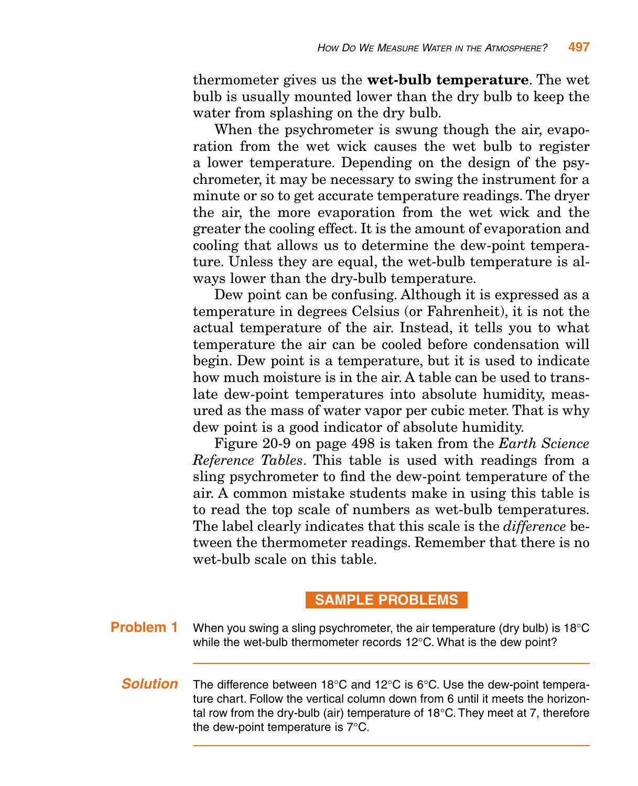thermometer gives us the **wet-bulb temperature**. The wet bulb is usually mounted lower than the dry bulb to keep the water from splashing on the dry bulb.

When the psychrometer is swung though the air, evaporation from the wet wick causes the wet bulb to register a lower temperature. Depending on the design of the psychrometer, it may be necessary to swing the instrument for a minute or so to get accurate temperature readings. The dryer the air, the more evaporation from the wet wick and the greater the cooling effect. It is the amount of evaporation and cooling that allows us to determine the dew-point temperature. Unless they are equal, the wet-bulb temperature is always lower than the dry-bulb temperature.

Dew point can be confusing. Although it is expressed as a temperature in degrees Celsius (or Fahrenheit), it is not the actual temperature of the air. Instead, it tells you to what temperature the air can be cooled before condensation will begin. Dew point is a temperature, but it is used to indicate how much moisture is in the air. A table can be used to translate dew-point temperatures into absolute humidity, measured as the mass of water vapor per cubic meter. That is why dew point is a good indicator of absolute humidity.

Figure 20-9 on page 498 is taken from the *Earth Science Reference Tables*. This table is used with readings from a sling psychrometer to find the dew-point temperature of the air. A common mistake students make in using this table is to read the top scale of numbers as wet-bulb temperatures. The label clearly indicates that this scale is the *difference* between the thermometer readings. Remember that there is no wet-bulb scale on this table.

## **SAMPLE PROBLEMS**

- **Problem 1** When you swing a sling psychrometer, the air temperature (dry bulb) is 18°C while the wet-bulb thermometer records 12°C. What is the dew point?
	- *Solution* The difference between 18°C and 12°C is 6°C. Use the dew-point temperature chart. Follow the vertical column down from 6 until it meets the horizontal row from the dry-bulb (air) temperature of 18°C. They meet at 7, therefore the dew-point temperature is 7°C.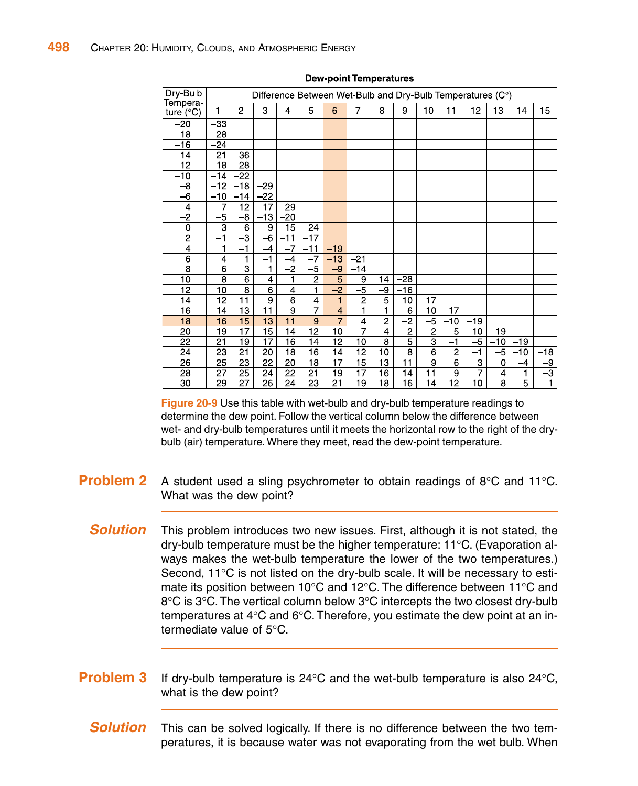| Dry-Bulb<br>Tempera-      | Difference Between Wet-Bulb and Dry-Bulb Temperatures (C°) |                         |                 |                 |       |                 |       |                |                 |                |                 |                |                |                |                 |
|---------------------------|------------------------------------------------------------|-------------------------|-----------------|-----------------|-------|-----------------|-------|----------------|-----------------|----------------|-----------------|----------------|----------------|----------------|-----------------|
| ture $(^{\circ}C)$        | 1                                                          | $\overline{2}$          | 3               | 4               | 5     | 6               | 7     | 8              | 9               | 10             | 11              | 12             | 13             | 14             | 15              |
| $-20$                     | $-33$                                                      |                         |                 |                 |       |                 |       |                |                 |                |                 |                |                |                |                 |
| $-18$                     | $-28$                                                      |                         |                 |                 |       |                 |       |                |                 |                |                 |                |                |                |                 |
| $-16$                     | $-24$                                                      |                         |                 |                 |       |                 |       |                |                 |                |                 |                |                |                |                 |
| $-14$                     | $-21$                                                      | $-36$                   |                 |                 |       |                 |       |                |                 |                |                 |                |                |                |                 |
| -12                       | $-18$                                                      | -28                     |                 |                 |       |                 |       |                |                 |                |                 |                |                |                |                 |
| $-10$                     | $-14$                                                      | $-22$                   |                 |                 |       |                 |       |                |                 |                |                 |                |                |                |                 |
| $-8$                      | $-12$                                                      | $-18$                   | -29             |                 |       |                 |       |                |                 |                |                 |                |                |                |                 |
| $\overline{-6}$           | $-10$                                                      | $-14$                   | -22             |                 |       |                 |       |                |                 |                |                 |                |                |                |                 |
| $-4$                      | $-7$                                                       | $-12$                   | $-17$           | -29             |       |                 |       |                |                 |                |                 |                |                |                |                 |
| $\overline{-2}$           | $-5$                                                       | -8                      | $-13$           | $-20$           |       |                 |       |                |                 |                |                 |                |                |                |                 |
| $\overline{\mathfrak{o}}$ | -3                                                         | $-6$                    | $-9$            | $-15$           | $-24$ |                 |       |                |                 |                |                 |                |                |                |                 |
| $\overline{2}$            | $-1$                                                       | -3                      | $-6$            | $-11$           | $-17$ |                 |       |                |                 |                |                 |                |                |                |                 |
| 4                         | 1                                                          | $-1$                    | $-4$            | $-7$            | $-11$ | $-19$           |       |                |                 |                |                 |                |                |                |                 |
| 6                         | 4                                                          | 1                       | $-1$            | $-4$            | $-7$  | $-13$           | $-21$ |                |                 |                |                 |                |                |                |                 |
| $\overline{8}$            | $\overline{6}$                                             | $\overline{\mathbf{3}}$ | 1               | $\overline{-2}$ | $-5$  | $-9$            | $-14$ |                |                 |                |                 |                |                |                |                 |
| 10                        | 8                                                          | 6                       | 4               | 1               | $-2$  | $-5$            | -9    | $-14$          | -28             |                |                 |                |                |                |                 |
| 12                        | 10                                                         | 8                       | 6               | 4               | 1     | $-2$            | -5    | -9             | -16             |                |                 |                |                |                |                 |
| 14                        | 12                                                         | 11                      | 9               | 6               | 4     | 1               | $-2$  | $-5$           | $-10$           | $-17$          |                 |                |                |                |                 |
| $\overline{16}$           | 14                                                         | 13                      | $\overline{11}$ | $\overline{9}$  | 7     | $\overline{4}$  | ī     | $-1$           | -6              | $-10$          | $-17$           |                |                |                |                 |
| 18                        | 16                                                         | 15                      | 13              | 11              | 9     | $\overline{7}$  | 4     | $\overline{c}$ | $^{-2}$         | -5             | $-10$           | $-19$          |                |                |                 |
| 20                        | 19                                                         | $\overline{17}$         | 15              | 14              | 12    | 10              | 7     | 4              | $\overline{2}$  | $-2$           | -5              | $-10$          | $-19$          |                |                 |
| 22                        | 21                                                         | 19                      | $\overline{17}$ | 16              | 14    | $\overline{12}$ | 10    | $\overline{8}$ | $\overline{5}$  | $\overline{3}$ | $-1$            | $-5$           | $-10$          | $-19$          |                 |
| 24                        | 23                                                         | 21                      | 20              | 18              | 16    | 14              | 12    | 10             | $\overline{8}$  | 6              | $\overline{2}$  | $-1$           | $-5$           | $-10$          | $-18$           |
| 26                        | 25                                                         | 23                      | 22              | 20              | 18    | 17              | 15    | 13             | 11              | 9              | 6               | 3              | 0              | $-4$           | -9              |
| 28                        | 27                                                         | 25                      | 24              | 22              | 21    | 19              | 17    | 16             | 14              | 11             | 9               | $\overline{7}$ | 4              | 1              | $\overline{-3}$ |
| 30                        | 29                                                         | $\overline{27}$         | 26              | $\overline{24}$ | 23    | $\overline{21}$ | 19    | 18             | $\overline{16}$ | 14             | $\overline{12}$ | 10             | $\overline{8}$ | $\overline{5}$ | ī               |

#### **Dew-point Temperatures**

**Figure 20-9** Use this table with wet-bulb and dry-bulb temperature readings to determine the dew point. Follow the vertical column below the difference between wet- and dry-bulb temperatures until it meets the horizontal row to the right of the drybulb (air) temperature. Where they meet, read the dew-point temperature.

- **Problem 2** A student used a sling psychrometer to obtain readings of 8°C and 11°C. What was the dew point?
	- **Solution** This problem introduces two new issues. First, although it is not stated, the dry-bulb temperature must be the higher temperature: 11°C. (Evaporation always makes the wet-bulb temperature the lower of the two temperatures.) Second, 11°C is not listed on the dry-bulb scale. It will be necessary to estimate its position between 10°C and 12°C. The difference between 11°C and 8°C is 3°C.The vertical column below 3°C intercepts the two closest dry-bulb temperatures at 4°C and 6°C. Therefore, you estimate the dew point at an intermediate value of 5°C.
- **Problem 3** If dry-bulb temperature is 24°C and the wet-bulb temperature is also 24°C, what is the dew point?
	- **Solution** This can be solved logically. If there is no difference between the two temperatures, it is because water was not evaporating from the wet bulb. When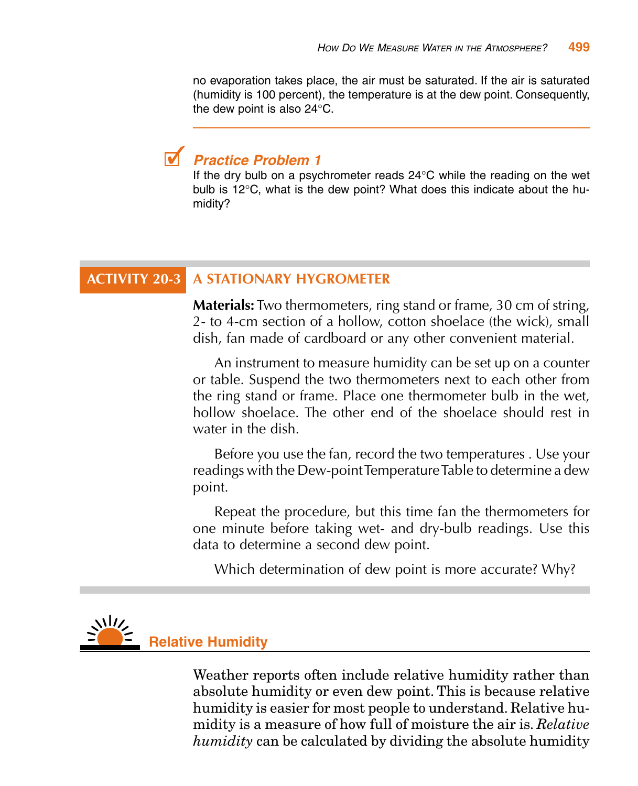no evaporation takes place, the air must be saturated. If the air is saturated (humidity is 100 percent), the temperature is at the dew point. Consequently, the dew point is also 24°C.

✓ *Practice Problem 1*

If the dry bulb on a psychrometer reads  $24^{\circ}$ C while the reading on the wet bulb is 12°C, what is the dew point? What does this indicate about the humidity?

#### **ACTIVITY 20-3 A STATIONARY HYGROMETER**

**Materials:** Two thermometers, ring stand or frame, 30 cm of string, 2- to 4-cm section of a hollow, cotton shoelace (the wick), small dish, fan made of cardboard or any other convenient material.

An instrument to measure humidity can be set up on a counter or table. Suspend the two thermometers next to each other from the ring stand or frame. Place one thermometer bulb in the wet, hollow shoelace. The other end of the shoelace should rest in water in the dish.

Before you use the fan, record the two temperatures . Use your readings with the Dew-point Temperature Table to determine a dew point.

Repeat the procedure, but this time fan the thermometers for one minute before taking wet- and dry-bulb readings. Use this data to determine a second dew point.

Which determination of dew point is more accurate? Why?



Weather reports often include relative humidity rather than absolute humidity or even dew point. This is because relative humidity is easier for most people to understand. Relative humidity is a measure of how full of moisture the air is. *Relative humidity* can be calculated by dividing the absolute humidity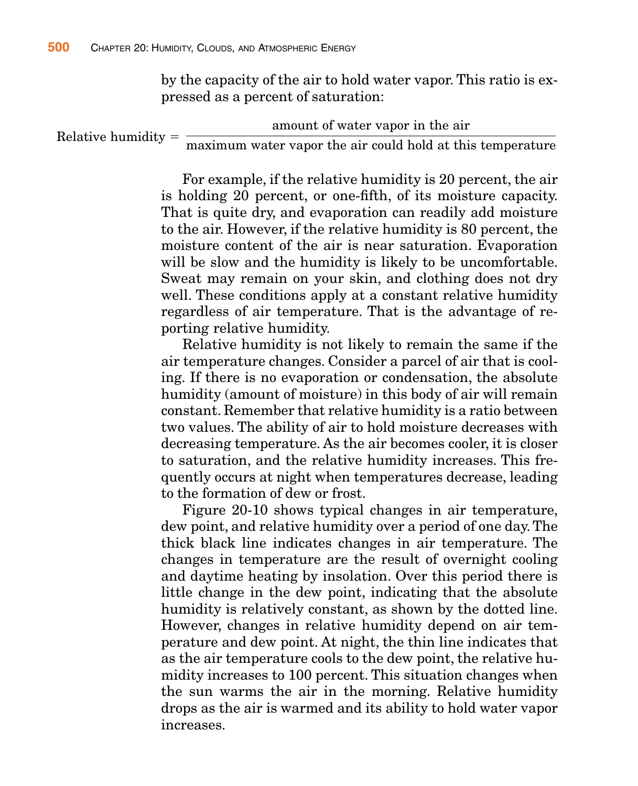by the capacity of the air to hold water vapor. This ratio is expressed as a percent of saturation:

|                                  | amount of water vapor in the air                           |
|----------------------------------|------------------------------------------------------------|
| $Relative \; humidity = \; - \;$ | maximum water vapor the air could hold at this temperature |

For example, if the relative humidity is 20 percent, the air is holding 20 percent, or one-fifth, of its moisture capacity. That is quite dry, and evaporation can readily add moisture to the air. However, if the relative humidity is 80 percent, the moisture content of the air is near saturation. Evaporation will be slow and the humidity is likely to be uncomfortable. Sweat may remain on your skin, and clothing does not dry well. These conditions apply at a constant relative humidity regardless of air temperature. That is the advantage of reporting relative humidity.

Relative humidity is not likely to remain the same if the air temperature changes. Consider a parcel of air that is cooling. If there is no evaporation or condensation, the absolute humidity (amount of moisture) in this body of air will remain constant. Remember that relative humidity is a ratio between two values. The ability of air to hold moisture decreases with decreasing temperature. As the air becomes cooler, it is closer to saturation, and the relative humidity increases. This frequently occurs at night when temperatures decrease, leading to the formation of dew or frost.

Figure 20-10 shows typical changes in air temperature, dew point, and relative humidity over a period of one day. The thick black line indicates changes in air temperature. The changes in temperature are the result of overnight cooling and daytime heating by insolation. Over this period there is little change in the dew point, indicating that the absolute humidity is relatively constant, as shown by the dotted line. However, changes in relative humidity depend on air temperature and dew point. At night, the thin line indicates that as the air temperature cools to the dew point, the relative humidity increases to 100 percent. This situation changes when the sun warms the air in the morning. Relative humidity drops as the air is warmed and its ability to hold water vapor increases.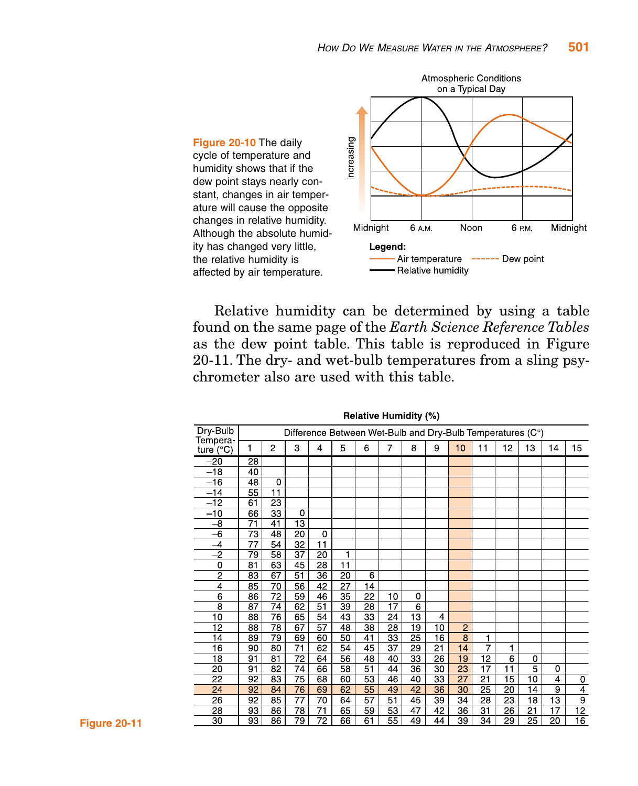**Figure 20-10** The daily cycle of temperature and humidity shows that if the dew point stays nearly constant, changes in air temperature will cause the opposite changes in relative humidity. Although the absolute humidity has changed very little, the relative humidity is affected by air temperature.



Relative humidity can be determined by using a table found on the same page of the *Earth Science Reference Tables* as the dew point table. This table is reproduced in Figure 20-11. The dry- and wet-bulb temperatures from a sling psychrometer also are used with this table.

| Dry Bulb                       | Difference Between Wet-Bulb and Dry-Bulb Temperatures $(C^{\circ})$ |                 |                 |    |    |                 |    |    |    |                |                |    |    |          |                |
|--------------------------------|---------------------------------------------------------------------|-----------------|-----------------|----|----|-----------------|----|----|----|----------------|----------------|----|----|----------|----------------|
| Tempera-<br>ture $(^{\circ}C)$ | 1                                                                   | $\overline{2}$  | 3               | 4  | 5  | 6               | 7  | 8  | 9  | 10             | 11             | 12 | 13 | 14       | 15             |
| $-20$                          | 28                                                                  |                 |                 |    |    |                 |    |    |    |                |                |    |    |          |                |
| -18                            | 40                                                                  |                 |                 |    |    |                 |    |    |    |                |                |    |    |          |                |
| -16                            | 48                                                                  | 0               |                 |    |    |                 |    |    |    |                |                |    |    |          |                |
| $-14$                          | 55                                                                  | 11              |                 |    |    |                 |    |    |    |                |                |    |    |          |                |
| $-12$                          | 61                                                                  | 23              |                 |    |    |                 |    |    |    |                |                |    |    |          |                |
| $-10$                          | 66                                                                  | 33              | 0               |    |    |                 |    |    |    |                |                |    |    |          |                |
| $-\frac{8}{5}$                 | $\overline{71}$                                                     | 41              | 13              |    |    |                 |    |    |    |                |                |    |    |          |                |
| $-\epsilon$                    | 73                                                                  | 48              | 20              | 0  |    |                 |    |    |    |                |                |    |    |          |                |
| $-4$                           | 77                                                                  | 54              | 32              | 11 |    |                 |    |    |    |                |                |    |    |          |                |
| $\overline{-2}$                | 79                                                                  | 58              | 37              | 20 | 1  |                 |    |    |    |                |                |    |    |          |                |
| 0                              | 81                                                                  | 63              | 45              | 28 | 11 |                 |    |    |    |                |                |    |    |          |                |
| $\overline{2}$                 | 83                                                                  | 67              | 51              | 36 | 20 | 6               |    |    |    |                |                |    |    |          |                |
| 4                              | 85                                                                  | 70              | 56              | 42 | 27 | 14              |    |    |    |                |                |    |    |          |                |
| 6                              | 86                                                                  | 72              | 59              | 46 | 35 | 22              | 10 | 0  |    |                |                |    |    |          |                |
| 8                              | 87                                                                  | 74              | 62              | 51 | 39 | 28              | 17 | 6  |    |                |                |    |    |          |                |
| 10                             | 88                                                                  | $\overline{76}$ | 65              | 54 | 43 | 33              | 24 | 13 | 4  |                |                |    |    |          |                |
| 12                             | 88                                                                  | 78              | 67              | 57 | 48 | 38              | 28 | 19 | 10 | $\overline{2}$ |                |    |    |          |                |
| 14                             | 89                                                                  | 79              | 69              | 60 | 50 | 41              | 33 | 25 | 16 | 8              | 1              |    |    |          |                |
| 16                             | 90                                                                  | 80              | 71              | 62 | 54 | 45              | 37 | 29 | 21 | 14             | $\overline{7}$ | 1  |    |          |                |
| 18                             | 91                                                                  | 81              | 72              | 64 | 56 | 48              | 40 | 33 | 26 | 19             | 12             | 6  | 0  |          |                |
| 20                             | 91                                                                  | 82              | 74              | 66 | 58 | 51              | 44 | 36 | 30 | 23             | 17             | 11 | 5  | $\Omega$ |                |
| 22                             | 92                                                                  | 83              | $\overline{75}$ | 68 | 60 | 53              | 46 | 40 | 33 | 27             | 21             | 15 | 10 | 4        | 0              |
| 24                             | 92                                                                  | 84              | 76              | 69 | 62 | 55              | 49 | 42 | 36 | 30             | 25             | 20 | 14 | 9        | $\overline{4}$ |
| 26                             | 92                                                                  | 85              | $\overline{77}$ | 70 | 64 | $\overline{57}$ | 51 | 45 | 39 | 34             | 28             | 23 | 18 | 13       | $\overline{9}$ |
| 28                             | 93                                                                  | 86              | 78              | 71 | 65 | 59              | 53 | 47 | 42 | 36             | 31             | 26 | 21 | 17       | 12             |
| 30                             | 93                                                                  | 86              | 79              | 72 | 66 | 61              | 55 | 49 | 44 | 39             | 34             | 29 | 25 | 20       | 16             |

**Relative Humidity (%)**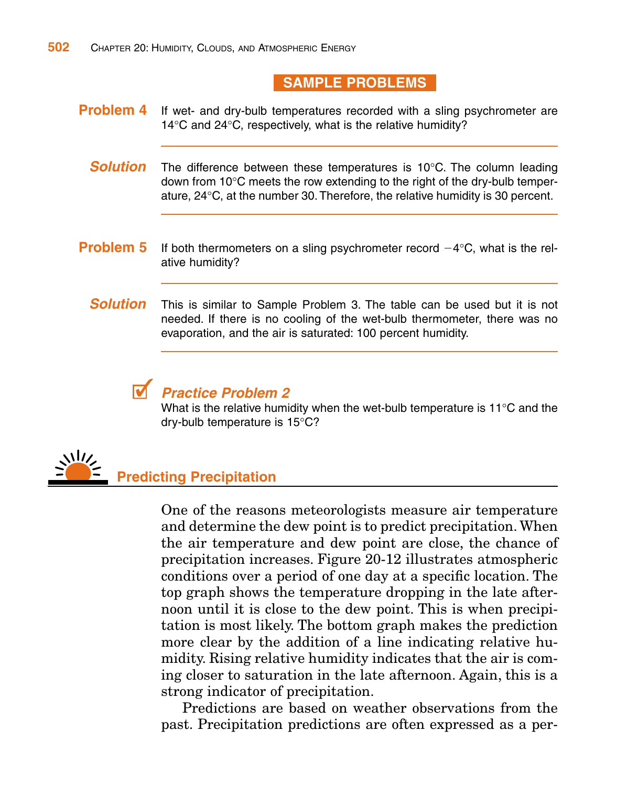#### **SAMPLE PROBLEMS**

- **Problem 4** If wet- and dry-bulb temperatures recorded with a sling psychrometer are 14°C and 24°C, respectively, what is the relative humidity?
	- **Solution** The difference between these temperatures is 10°C. The column leading down from 10°C meets the row extending to the right of the dry-bulb temperature, 24°C, at the number 30. Therefore, the relative humidity is 30 percent.
- **Problem 5** If both thermometers on a sling psychrometer record  $-4^{\circ}$ C, what is the relative humidity?
	- **Solution** This is similar to Sample Problem 3. The table can be used but it is not needed. If there is no cooling of the wet-bulb thermometer, there was no evaporation, and the air is saturated: 100 percent humidity.

## ✓ *Practice Problem 2*

What is the relative humidity when the wet-bulb temperature is 11°C and the dry-bulb temperature is 15°C?



One of the reasons meteorologists measure air temperature and determine the dew point is to predict precipitation. When the air temperature and dew point are close, the chance of precipitation increases. Figure 20-12 illustrates atmospheric conditions over a period of one day at a specific location. The top graph shows the temperature dropping in the late afternoon until it is close to the dew point. This is when precipitation is most likely. The bottom graph makes the prediction more clear by the addition of a line indicating relative humidity. Rising relative humidity indicates that the air is coming closer to saturation in the late afternoon. Again, this is a strong indicator of precipitation.

Predictions are based on weather observations from the past. Precipitation predictions are often expressed as a per-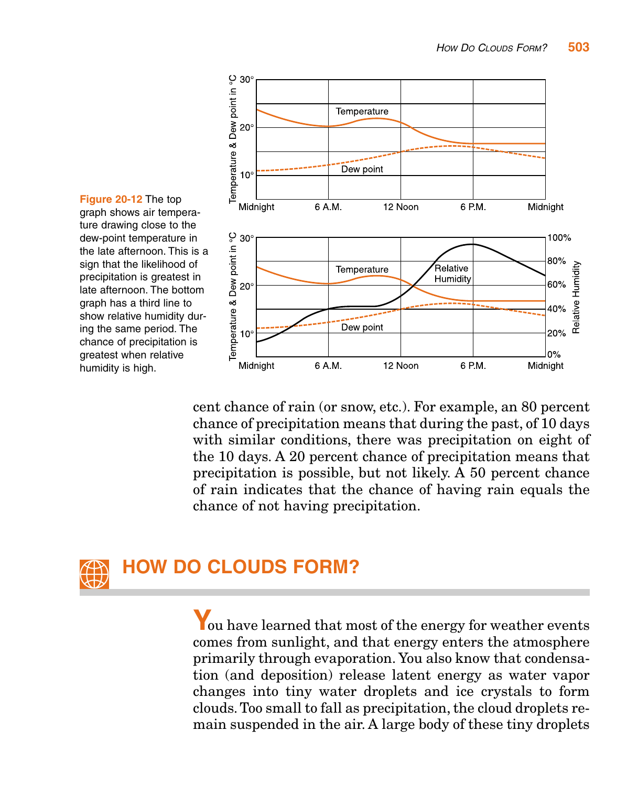



cent chance of rain (or snow, etc.). For example, an 80 percent chance of precipitation means that during the past, of 10 days with similar conditions, there was precipitation on eight of the 10 days. A 20 percent chance of precipitation means that precipitation is possible, but not likely. A 50 percent chance of rain indicates that the chance of having rain equals the chance of not having precipitation.

# **HOW DO CLOUDS FORM?**

**Y**ou have learned that most of the energy for weather events comes from sunlight, and that energy enters the atmosphere primarily through evaporation. You also know that condensation (and deposition) release latent energy as water vapor changes into tiny water droplets and ice crystals to form clouds. Too small to fall as precipitation, the cloud droplets remain suspended in the air. A large body of these tiny droplets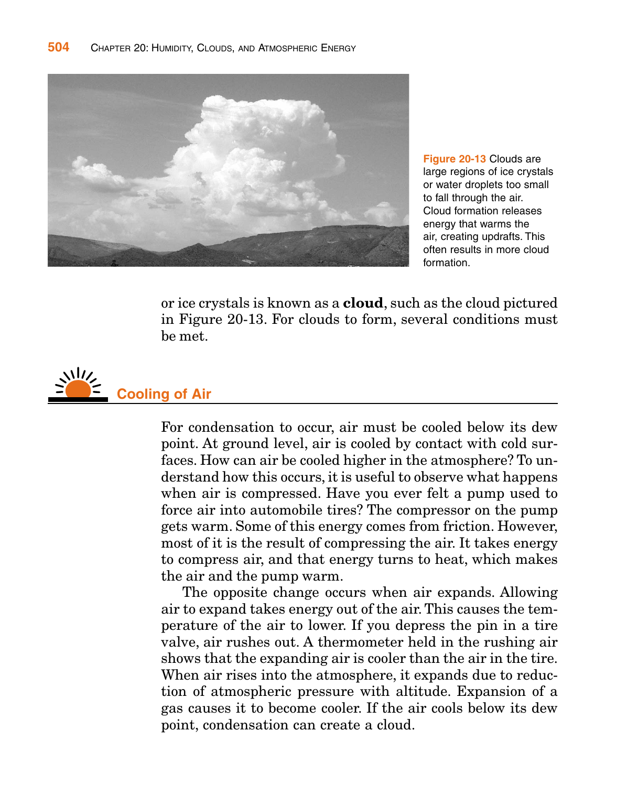

**Figure 20-13** Clouds are large regions of ice crystals or water droplets too small to fall through the air. Cloud formation releases energy that warms the air, creating updrafts. This often results in more cloud formation.

or ice crystals is known as a **cloud**, such as the cloud pictured in Figure 20-13. For clouds to form, several conditions must be met.



For condensation to occur, air must be cooled below its dew point. At ground level, air is cooled by contact with cold surfaces. How can air be cooled higher in the atmosphere? To understand how this occurs, it is useful to observe what happens when air is compressed. Have you ever felt a pump used to force air into automobile tires? The compressor on the pump gets warm. Some of this energy comes from friction. However, most of it is the result of compressing the air. It takes energy to compress air, and that energy turns to heat, which makes the air and the pump warm.

The opposite change occurs when air expands. Allowing air to expand takes energy out of the air. This causes the temperature of the air to lower. If you depress the pin in a tire valve, air rushes out. A thermometer held in the rushing air shows that the expanding air is cooler than the air in the tire. When air rises into the atmosphere, it expands due to reduction of atmospheric pressure with altitude. Expansion of a gas causes it to become cooler. If the air cools below its dew point, condensation can create a cloud.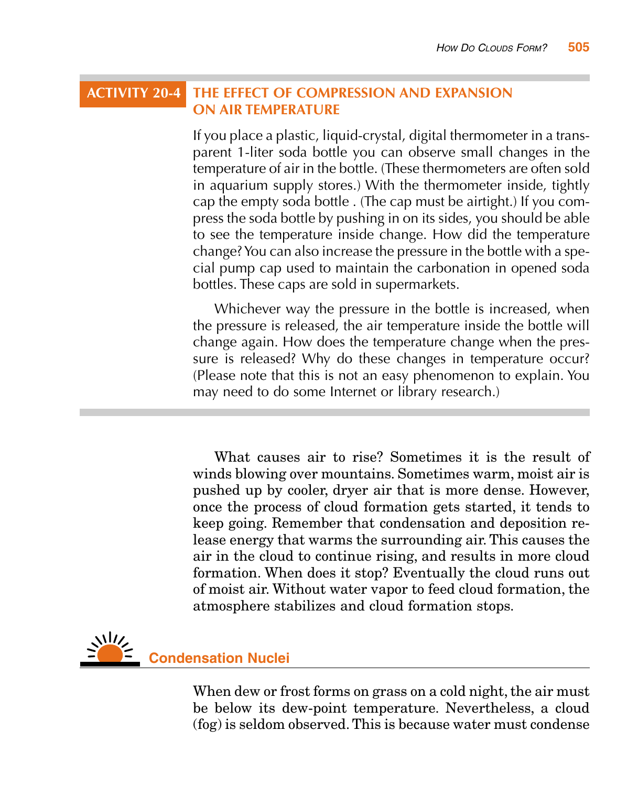## **ACTIVITY 20-4 THE EFFECT OF COMPRESSION AND EXPANSION ON AIR TEMPERATURE**

If you place a plastic, liquid-crystal, digital thermometer in a transparent 1-liter soda bottle you can observe small changes in the temperature of air in the bottle. (These thermometers are often sold in aquarium supply stores.) With the thermometer inside, tightly cap the empty soda bottle . (The cap must be airtight.) If you compress the soda bottle by pushing in on its sides, you should be able to see the temperature inside change. How did the temperature change? You can also increase the pressure in the bottle with a special pump cap used to maintain the carbonation in opened soda bottles. These caps are sold in supermarkets.

Whichever way the pressure in the bottle is increased, when the pressure is released, the air temperature inside the bottle will change again. How does the temperature change when the pressure is released? Why do these changes in temperature occur? (Please note that this is not an easy phenomenon to explain. You may need to do some Internet or library research.)

What causes air to rise? Sometimes it is the result of winds blowing over mountains. Sometimes warm, moist air is pushed up by cooler, dryer air that is more dense. However, once the process of cloud formation gets started, it tends to keep going. Remember that condensation and deposition release energy that warms the surrounding air. This causes the air in the cloud to continue rising, and results in more cloud formation. When does it stop? Eventually the cloud runs out of moist air. Without water vapor to feed cloud formation, the atmosphere stabilizes and cloud formation stops.



When dew or frost forms on grass on a cold night, the air must be below its dew-point temperature. Nevertheless, a cloud (fog) is seldom observed. This is because water must condense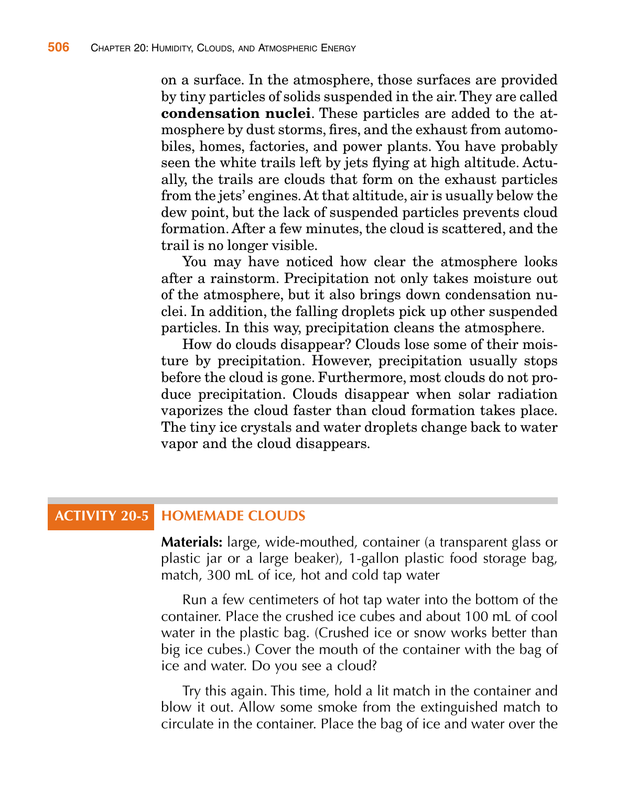on a surface. In the atmosphere, those surfaces are provided by tiny particles of solids suspended in the air. They are called **condensation nuclei**. These particles are added to the atmosphere by dust storms, fires, and the exhaust from automobiles, homes, factories, and power plants. You have probably seen the white trails left by jets flying at high altitude. Actually, the trails are clouds that form on the exhaust particles from the jets' engines.At that altitude, air is usually below the dew point, but the lack of suspended particles prevents cloud formation. After a few minutes, the cloud is scattered, and the trail is no longer visible.

You may have noticed how clear the atmosphere looks after a rainstorm. Precipitation not only takes moisture out of the atmosphere, but it also brings down condensation nuclei. In addition, the falling droplets pick up other suspended particles. In this way, precipitation cleans the atmosphere.

How do clouds disappear? Clouds lose some of their moisture by precipitation. However, precipitation usually stops before the cloud is gone. Furthermore, most clouds do not produce precipitation. Clouds disappear when solar radiation vaporizes the cloud faster than cloud formation takes place. The tiny ice crystals and water droplets change back to water vapor and the cloud disappears.

## **ACTIVITY 20-5 HOMEMADE CLOUDS**

**Materials:** large, wide-mouthed, container (a transparent glass or plastic jar or a large beaker), 1-gallon plastic food storage bag, match, 300 mL of ice, hot and cold tap water

Run a few centimeters of hot tap water into the bottom of the container. Place the crushed ice cubes and about 100 mL of cool water in the plastic bag. (Crushed ice or snow works better than big ice cubes.) Cover the mouth of the container with the bag of ice and water. Do you see a cloud?

Try this again. This time, hold a lit match in the container and blow it out. Allow some smoke from the extinguished match to circulate in the container. Place the bag of ice and water over the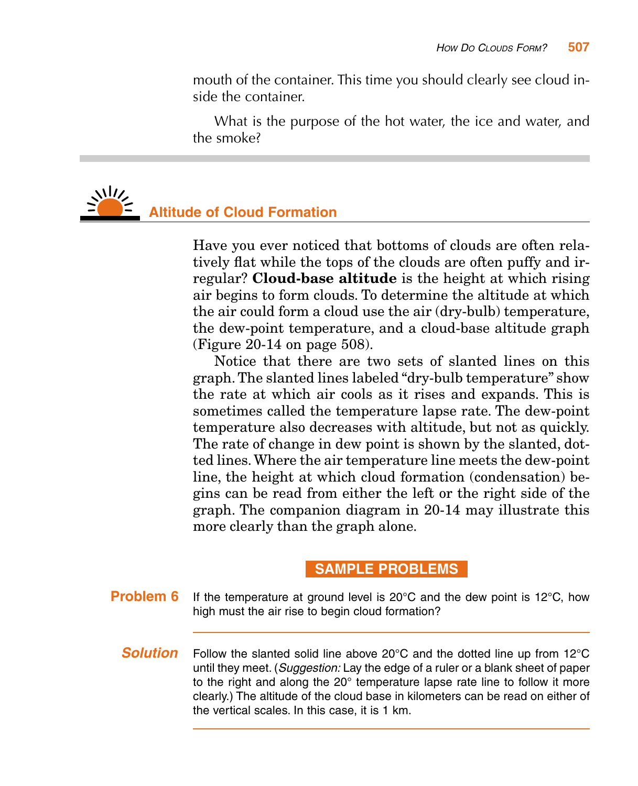mouth of the container. This time you should clearly see cloud inside the container.

What is the purpose of the hot water, the ice and water, and the smoke?

## $\sum_{i=1}^{N}$ **Altitude of Cloud Formation**

Have you ever noticed that bottoms of clouds are often relatively flat while the tops of the clouds are often puffy and irregular? **Cloud-base altitude** is the height at which rising air begins to form clouds. To determine the altitude at which the air could form a cloud use the air (dry-bulb) temperature, the dew-point temperature, and a cloud-base altitude graph (Figure 20-14 on page 508).

Notice that there are two sets of slanted lines on this graph. The slanted lines labeled "dry-bulb temperature" show the rate at which air cools as it rises and expands. This is sometimes called the temperature lapse rate. The dew-point temperature also decreases with altitude, but not as quickly. The rate of change in dew point is shown by the slanted, dotted lines. Where the air temperature line meets the dew-point line, the height at which cloud formation (condensation) begins can be read from either the left or the right side of the graph. The companion diagram in 20-14 may illustrate this more clearly than the graph alone.

## **SAMPLE PROBLEMS**

- **Problem 6** If the temperature at ground level is 20°C and the dew point is 12°C, how high must the air rise to begin cloud formation?
	- **Solution** Follow the slanted solid line above 20°C and the dotted line up from 12°C until they meet. (*Suggestion:* Lay the edge of a ruler or a blank sheet of paper to the right and along the 20° temperature lapse rate line to follow it more clearly.) The altitude of the cloud base in kilometers can be read on either of the vertical scales. In this case, it is 1 km.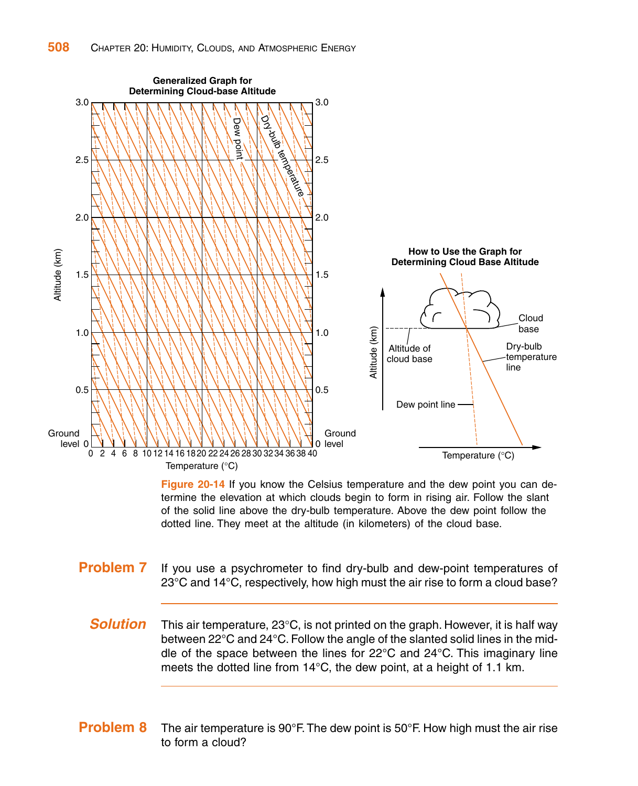

**Figure 20-14** If you know the Celsius temperature and the dew point you can determine the elevation at which clouds begin to form in rising air. Follow the slant of the solid line above the dry-bulb temperature. Above the dew point follow the dotted line. They meet at the altitude (in kilometers) of the cloud base.

**Problem 7** If you use a psychrometer to find dry-bulb and dew-point temperatures of 23°C and 14°C, respectively, how high must the air rise to form a cloud base?

*Solution* This air temperature, 23°C, is not printed on the graph. However, it is half way between 22°C and 24°C. Follow the angle of the slanted solid lines in the middle of the space between the lines for 22°C and 24°C. This imaginary line meets the dotted line from 14°C, the dew point, at a height of 1.1 km.

**Problem 8** The air temperature is 90°F. The dew point is 50°F. How high must the air rise to form a cloud?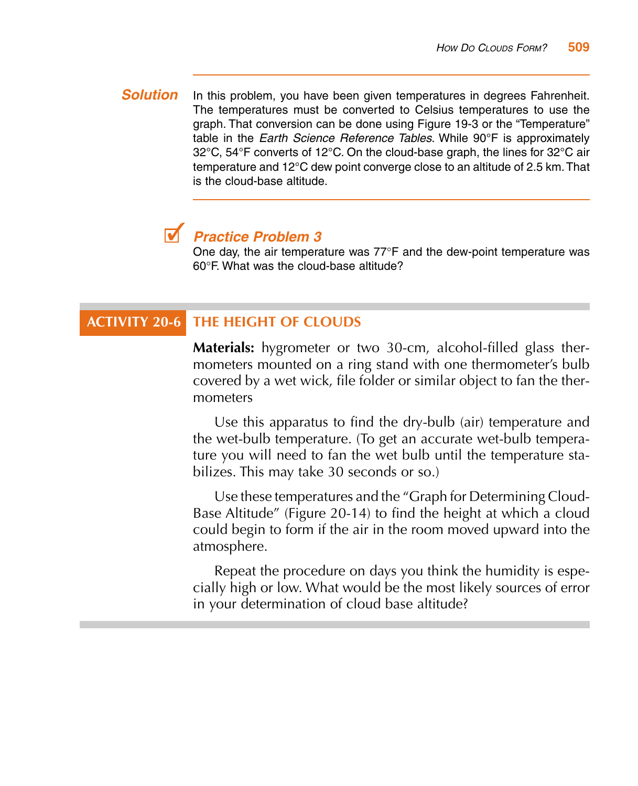**Solution** In this problem, you have been given temperatures in degrees Fahrenheit. The temperatures must be converted to Celsius temperatures to use the graph. That conversion can be done using Figure 19-3 or the "Temperature" table in the *Earth Science Reference Tables*. While 90°F is approximately 32°C, 54°F converts of 12°C. On the cloud-base graph, the lines for 32°C air temperature and 12°C dew point converge close to an altitude of 2.5 km.That is the cloud-base altitude.

## ✓ *Practice Problem 3*

One day, the air temperature was 77°F and the dew-point temperature was 60°F. What was the cloud-base altitude?

#### **ACTIVITY 20-6 THE HEIGHT OF CLOUDS**

**Materials:** hygrometer or two 30-cm, alcohol-filled glass thermometers mounted on a ring stand with one thermometer's bulb covered by a wet wick, file folder or similar object to fan the thermometers

Use this apparatus to find the dry-bulb (air) temperature and the wet-bulb temperature. (To get an accurate wet-bulb temperature you will need to fan the wet bulb until the temperature stabilizes. This may take 30 seconds or so.)

Use these temperatures and the "Graph for Determining Cloud-Base Altitude" (Figure 20-14) to find the height at which a cloud could begin to form if the air in the room moved upward into the atmosphere.

Repeat the procedure on days you think the humidity is especially high or low. What would be the most likely sources of error in your determination of cloud base altitude?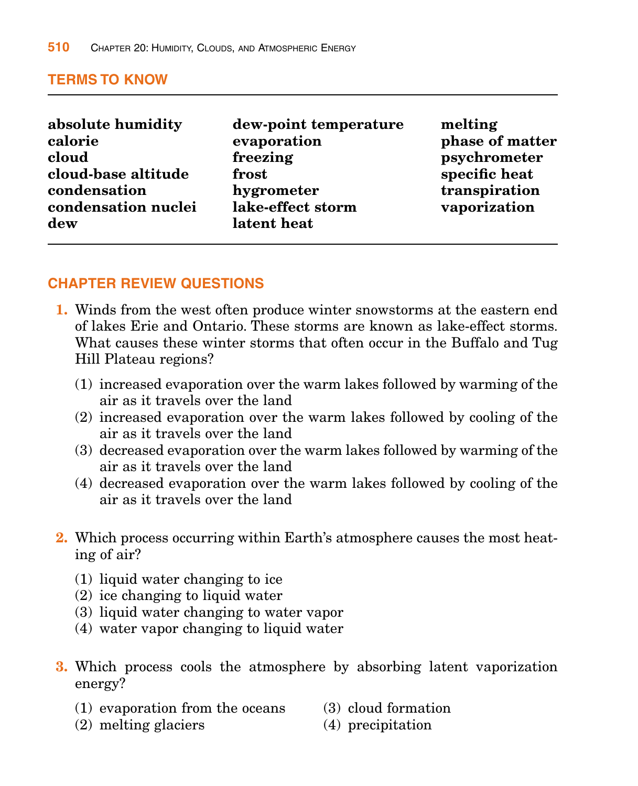## **TERMS TO KNOW**

| absolute humidity   | dew-point temperature | melting         |
|---------------------|-----------------------|-----------------|
| calorie             | evaporation           | phase of matter |
| cloud               | freezing              | psychrometer    |
| cloud-base altitude | frost                 | specific heat   |
| condensation        | hygrometer            | transpiration   |
| condensation nuclei | lake-effect storm     | vaporization    |
| dew                 | latent heat           |                 |

## **CHAPTER REVIEW QUESTIONS**

- **1.** Winds from the west often produce winter snowstorms at the eastern end of lakes Erie and Ontario. These storms are known as lake-effect storms. What causes these winter storms that often occur in the Buffalo and Tug Hill Plateau regions?
	- (1) increased evaporation over the warm lakes followed by warming of the air as it travels over the land
	- (2) increased evaporation over the warm lakes followed by cooling of the air as it travels over the land
	- (3) decreased evaporation over the warm lakes followed by warming of the air as it travels over the land
	- (4) decreased evaporation over the warm lakes followed by cooling of the air as it travels over the land
- **2.** Which process occurring within Earth's atmosphere causes the most heating of air?
	- (1) liquid water changing to ice
	- (2) ice changing to liquid water
	- (3) liquid water changing to water vapor
	- (4) water vapor changing to liquid water
- **3.** Which process cools the atmosphere by absorbing latent vaporization energy?
	- (1) evaporation from the oceans (3) cloud formation
- - (2) melting glaciers (4) precipitation
-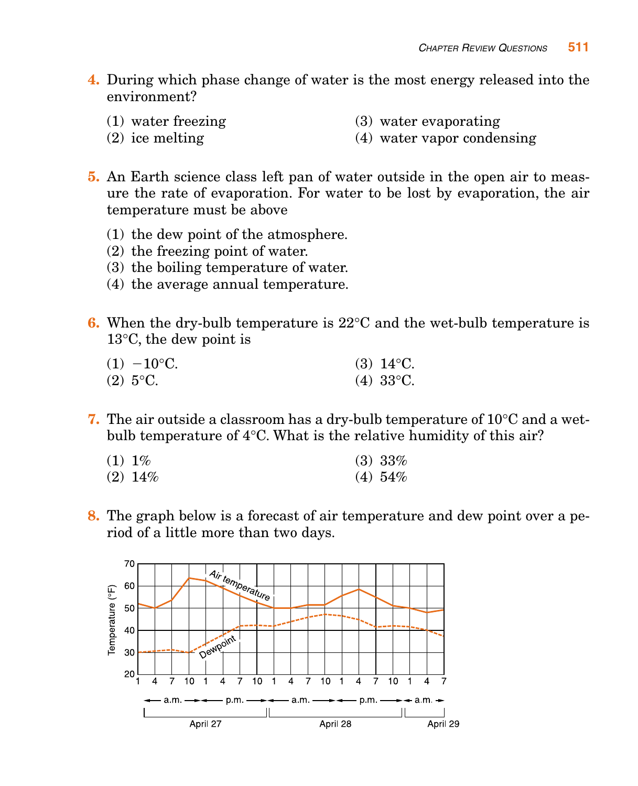- **4.** During which phase change of water is the most energy released into the environment?
	- (1) water freezing (3) water evaporating
	- (2) ice melting (4) water vapor condensing
- **5.** An Earth science class left pan of water outside in the open air to measure the rate of evaporation. For water to be lost by evaporation, the air temperature must be above
	- (1) the dew point of the atmosphere.
	- (2) the freezing point of water.
	- (3) the boiling temperature of water.
	- (4) the average annual temperature.
- **6.** When the dry-bulb temperature is 22°C and the wet-bulb temperature is 13°C, the dew point is

| $(1) -10$ °C. | $(3)$ 14 °C. |
|---------------|--------------|
| $(2)$ 5°C.    | $(4)$ 33 °C. |

**7.** The air outside a classroom has a dry-bulb temperature of 10°C and a wetbulb temperature of 4°C. What is the relative humidity of this air?

| (1) 1%  | (3)33%    |
|---------|-----------|
| (2) 14% | $(4)$ 54% |

**8.** The graph below is a forecast of air temperature and dew point over a period of a little more than two days.

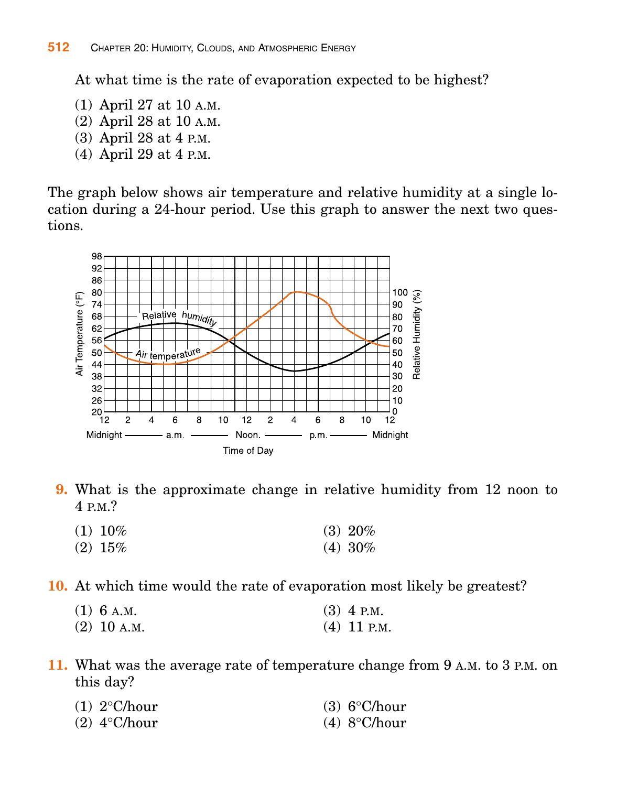At what time is the rate of evaporation expected to be highest?

- (1) April 27 at 10 A.M.
- (2) April 28 at 10 A.M.
- (3) April 28 at 4 P.M.
- (4) April 29 at 4 P.M.

The graph below shows air temperature and relative humidity at a single location during a 24-hour period. Use this graph to answer the next two questions.



- **9.** What is the approximate change in relative humidity from 12 noon to 4 P.M.?
	- (1)  $10\%$  (3)  $20\%$ (2)  $15\%$  (4)  $30\%$
- **10.** At which time would the rate of evaporation most likely be greatest?
	- (1) 6 A.M.  $(3)$  4 P.M. (2) 10 A.M.  $(4)$  11 P.M.

**11.** What was the average rate of temperature change from 9 A.M. to 3 P.M. on this day?

| (1) $2^{\circ}$ C/hour | $(3)$ 6°C/hour |
|------------------------|----------------|
| (2) $4^{\circ}$ C/hour | $(4)$ 8°C/hour |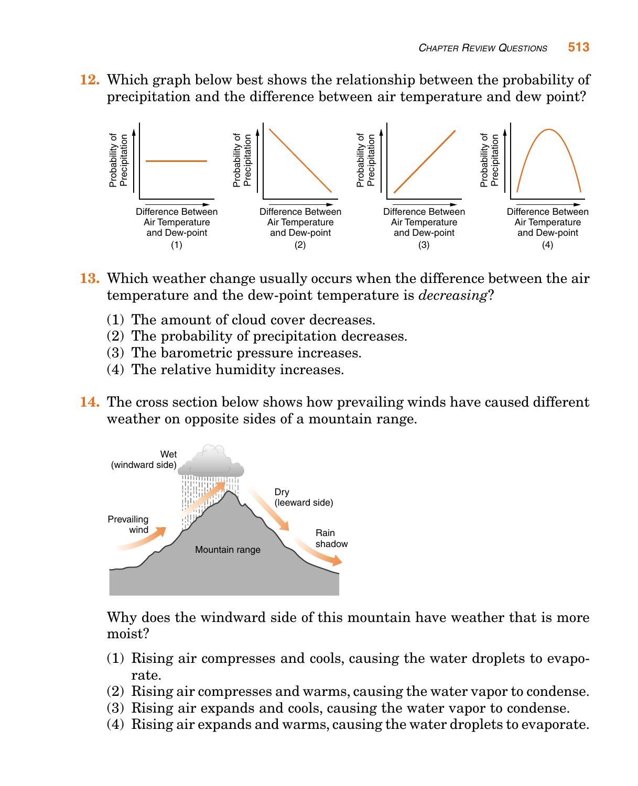**12.** Which graph below best shows the relationship between the probability of precipitation and the difference between air temperature and dew point?



- **13.** Which weather change usually occurs when the difference between the air temperature and the dew-point temperature is *decreasing*?
	- (1) The amount of cloud cover decreases.
	- (2) The probability of precipitation decreases.
	- (3) The barometric pressure increases.
	- (4) The relative humidity increases.
- **14.** The cross section below shows how prevailing winds have caused different weather on opposite sides of a mountain range.



Why does the windward side of this mountain have weather that is more moist?

- (1) Rising air compresses and cools, causing the water droplets to evaporate.
- (2) Rising air compresses and warms, causing the water vapor to condense.
- (3) Rising air expands and cools, causing the water vapor to condense.
- (4) Rising air expands and warms, causing the water droplets to evaporate.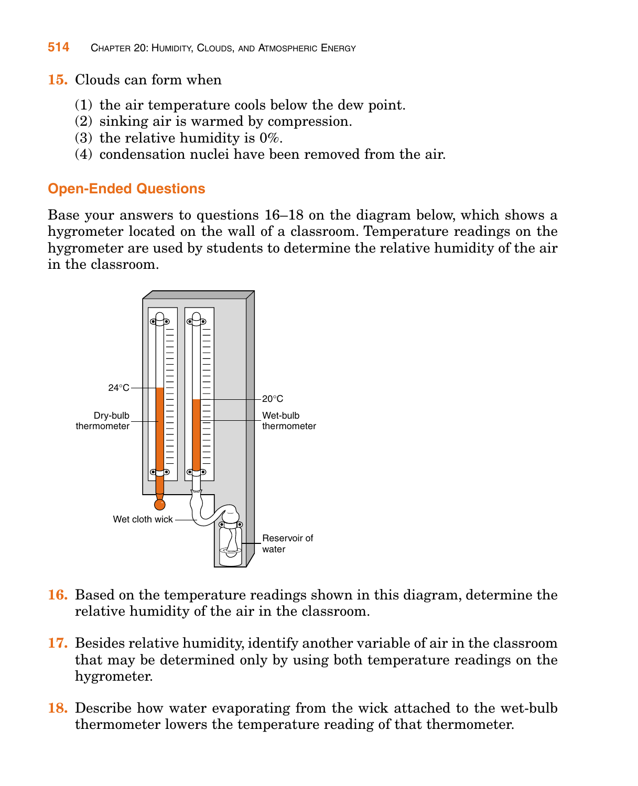**15.** Clouds can form when

- (1) the air temperature cools below the dew point.
- (2) sinking air is warmed by compression.
- (3) the relative humidity is 0%.
- (4) condensation nuclei have been removed from the air.

## **Open-Ended Questions**

Base your answers to questions 16–18 on the diagram below, which shows a hygrometer located on the wall of a classroom. Temperature readings on the hygrometer are used by students to determine the relative humidity of the air in the classroom.



- **16.** Based on the temperature readings shown in this diagram, determine the relative humidity of the air in the classroom.
- **17.** Besides relative humidity, identify another variable of air in the classroom that may be determined only by using both temperature readings on the hygrometer.
- **18.** Describe how water evaporating from the wick attached to the wet-bulb thermometer lowers the temperature reading of that thermometer.